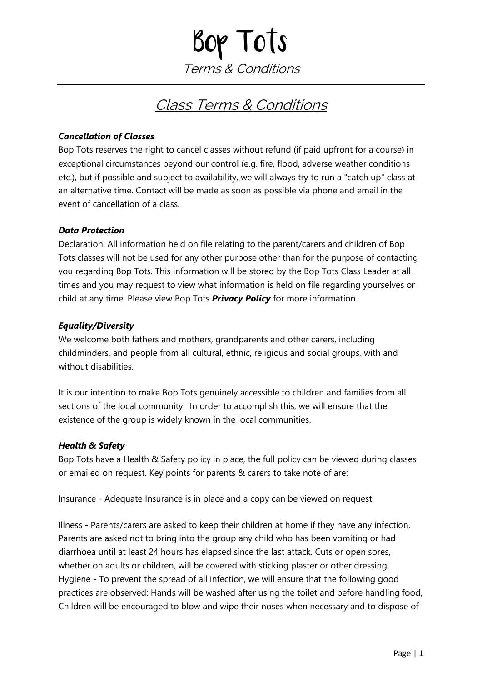# Bop Tots Terms & Conditions

## Class Terms & Conditions

#### *Cancellation of Classes*

Bop Tots reserves the right to cancel classes without refund (if paid upfront for a course) in exceptional circumstances beyond our control (e.g. fire, flood, adverse weather conditions etc.), but if possible and subject to availability, we will always try to run a "catch up" class at an alternative time. Contact will be made as soon as possible via phone and email in the event of cancellation of a class.

#### *Data Protection*

Declaration: All information held on file relating to the parent/carers and children of Bop Tots classes will not be used for any other purpose other than for the purpose of contacting you regarding Bop Tots. This information will be stored by the Bop Tots Class Leader at all times and you may request to view what information is held on file regarding yourselves or child at any time. Please view Bop Tots *Privacy Policy* for more information.

#### *Equality/Diversity*

We welcome both fathers and mothers, grandparents and other carers, including childminders, and people from all cultural, ethnic, religious and social groups, with and without disabilities.

It is our intention to make Bop Tots genuinely accessible to children and families from all sections of the local community. In order to accomplish this, we will ensure that the existence of the group is widely known in the local communities.

#### *Health & Safety*

Bop Tots have a Health & Safety policy in place, the full policy can be viewed during classes or emailed on request. Key points for parents & carers to take note of are:

Insurance - Adequate Insurance is in place and a copy can be viewed on request.

Illness - Parents/carers are asked to keep their children at home if they have any infection. Parents are asked not to bring into the group any child who has been vomiting or had diarrhoea until at least 24 hours has elapsed since the last attack. Cuts or open sores, whether on adults or children, will be covered with sticking plaster or other dressing. Hygiene - To prevent the spread of all infection, we will ensure that the following good practices are observed: Hands will be washed after using the toilet and before handling food, Children will be encouraged to blow and wipe their noses when necessary and to dispose of